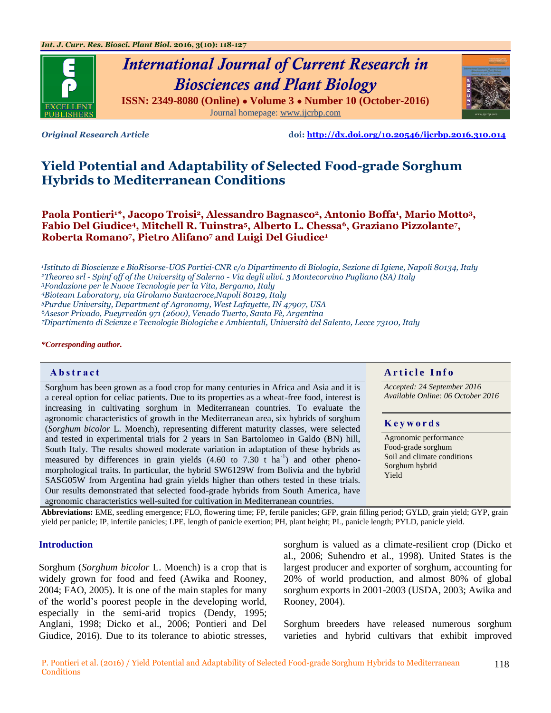

# *International Journal of Current Research in Biosciences and Plant Biology* **ISSN: 2349-8080 (Online) ● Volume 3 ● Number 10 (October-2016)** Journal homepage: [www.ijcrbp.com](http://www.ijcrbp.com/)



*Original Research Article* **doi:<http://dx.doi.org/10.20546/ijcrbp.2016.310.014>**

# **Yield Potential and Adaptability of Selected Food-grade Sorghum Hybrids to Mediterranean Conditions**

**Paola Pontieri1\*, Jacopo Troisi2, Alessandro Bagnasco2, Antonio Boffa<sup>1</sup> , Mario Motto3, Fabio Del Giudice4, Mitchell R. Tuinstra5, Alberto L. Chessa6, Graziano Pizzolante<sup>7</sup> , Roberta Romano<sup>7</sup> , Pietro Alifano<sup>7</sup> and Luigi Del Giudice<sup>1</sup>**

*Istituto di Bioscienze e BioRisorse-UOS Portici-CNR c/o Dipartimento di Biologia, Sezione di Igiene, Napoli 80134, Italy Theoreo srl - Spinf off of the University of Salerno - Via degli ulivi. 3 Montecorvino Pugliano (SA) Italy Fondazione per le Nuove Tecnologie per la Vita, Bergamo, Italy Bioteam Laboratory, via Girolamo Santacroce,Napoli 80129, Italy Purdue University, Department of Agronomy, West Lafayette, IN 47907, USA*

*<sup>6</sup>Asesor Privado, Pueyrredón 971 (2600), Venado Tuerto, Santa Fè, Argentina*

*<sup>7</sup>Dipartimento di Scienze e Tecnologie Biologiche e Ambientali, Università del Salento, Lecce 73100, Italy*

#### *\*Corresponding author.*

Sorghum has been grown as a food crop for many centuries in Africa and Asia and it is a cereal option for celiac patients. Due to its properties as a wheat-free food, interest is increasing in cultivating sorghum in Mediterranean countries. To evaluate the agronomic characteristics of growth in the Mediterranean area, six hybrids of sorghum (*Sorghum bicolor* L. Moench), representing different maturity classes, were selected and tested in experimental trials for 2 years in San Bartolomeo in Galdo (BN) hill, South Italy. The results showed moderate variation in adaptation of these hybrids as measured by differences in grain yields  $(4.60 \text{ to } 7.30 \text{ t} \text{ ha}^{-1})$  and other phenomorphological traits. In particular, the hybrid SW6129W from Bolivia and the hybrid SASG05W from Argentina had grain yields higher than others tested in these trials. Our results demonstrated that selected food-grade hybrids from South America, have agronomic characteristics well-suited for cultivation in Mediterranean countries.

#### **Abstract And a region of the Info**  $\alpha$  **Article Info**

*Accepted: 24 September 2016 Available Online: 06 October 2016*

#### **K e y w o r d s**

Agronomic performance Food-grade sorghum Soil and climate conditions Sorghum hybrid Yield

**Abbreviations:** EME, seedling emergence; FLO, flowering time; FP, fertile panicles; GFP, grain filling period; GYLD, grain yield; GYP, grain yield per panicle; IP, infertile panicles; LPE, length of panicle exertion; PH, plant height; PL, panicle length; PYLD, panicle yield.

#### **Introduction**

Sorghum (*Sorghum bicolor* L. Moench) is a crop that is widely grown for food and feed (Awika and Rooney, 2004; FAO, 2005). It is one of the main staples for many of the world"s poorest people in the developing world, especially in the semi-arid tropics (Dendy, 1995; Anglani, 1998; Dicko et al., 2006; Pontieri and Del Giudice, 2016). Due to its tolerance to abiotic stresses,

sorghum is valued as a climate-resilient crop (Dicko et al., 2006; Suhendro et al., 1998). United States is the largest producer and exporter of sorghum, accounting for 20% of world production, and almost 80% of global sorghum exports in 2001-2003 (USDA, 2003; Awika and Rooney, 2004).

Sorghum breeders have released numerous sorghum varieties and hybrid cultivars that exhibit improved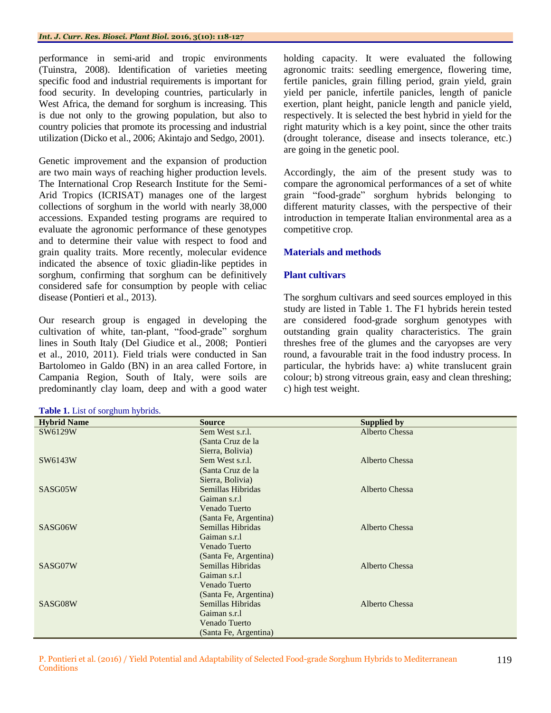performance in semi-arid and tropic environments (Tuinstra, 2008). Identification of varieties meeting specific food and industrial requirements is important for food security. In developing countries, particularly in West Africa, the demand for sorghum is increasing. This is due not only to the growing population, but also to country policies that promote its processing and industrial utilization (Dicko et al., 2006; Akintajo and Sedgo, 2001).

Genetic improvement and the expansion of production are two main ways of reaching higher production levels. The International Crop Research Institute for the Semi-Arid Tropics (ICRISAT) manages one of the largest collections of sorghum in the world with nearly 38,000 accessions. Expanded testing programs are required to evaluate the agronomic performance of these genotypes and to determine their value with respect to food and grain quality traits. More recently, molecular evidence indicated the absence of toxic gliadin-like peptides in sorghum, confirming that sorghum can be definitively considered safe for consumption by people with celiac disease (Pontieri et al., 2013).

Our research group is engaged in developing the cultivation of white, tan-plant, "food-grade" sorghum lines in South Italy (Del Giudice et al., 2008; Pontieri et al., 2010, 2011). Field trials were conducted in San Bartolomeo in Galdo (BN) in an area called Fortore, in Campania Region, South of Italy, were soils are predominantly clay loam, deep and with a good water

| Table 1. List of sorghum hybrids. |  |  |  |  |
|-----------------------------------|--|--|--|--|
|                                   |  |  |  |  |

holding capacity. It were evaluated the following agronomic traits: seedling emergence, flowering time, fertile panicles, grain filling period, grain yield, grain yield per panicle, infertile panicles, length of panicle exertion, plant height, panicle length and panicle yield, respectively. It is selected the best hybrid in yield for the right maturity which is a key point, since the other traits (drought tolerance, disease and insects tolerance, etc.) are going in the genetic pool.

Accordingly, the aim of the present study was to compare the agronomical performances of a set of white grain "food-grade" sorghum hybrids belonging to different maturity classes, with the perspective of their introduction in temperate Italian environmental area as a competitive crop.

# **Materials and methods**

# **Plant cultivars**

The sorghum cultivars and seed sources employed in this study are listed in Table 1. The F1 hybrids herein tested are considered food-grade sorghum genotypes with outstanding grain quality characteristics. The grain threshes free of the glumes and the caryopses are very round, a favourable trait in the food industry process. In particular, the hybrids have: a) white translucent grain colour; b) strong vitreous grain, easy and clean threshing; c) high test weight.

| <b>Hybrid Name</b> | <b>Source</b>         | <b>Supplied by</b> |
|--------------------|-----------------------|--------------------|
| SW6129W            | Sem West s.r.l.       | Alberto Chessa     |
|                    | (Santa Cruz de la     |                    |
|                    | Sierra, Bolivia)      |                    |
| SW6143W            | Sem West s.r.l.       | Alberto Chessa     |
|                    | (Santa Cruz de la     |                    |
|                    | Sierra, Bolivia)      |                    |
| SASG05W            | Semillas Hibridas     | Alberto Chessa     |
|                    | Gaiman s.r.l          |                    |
|                    | Venado Tuerto         |                    |
|                    | (Santa Fe, Argentina) |                    |
| SASG06W            | Semillas Hibridas     | Alberto Chessa     |
|                    | Gaiman s.r.l          |                    |
|                    | Venado Tuerto         |                    |
|                    | (Santa Fe, Argentina) |                    |
| SASG07W            | Semillas Hibridas     | Alberto Chessa     |
|                    | Gaiman s.r.l          |                    |
|                    | Venado Tuerto         |                    |
|                    | (Santa Fe, Argentina) |                    |
| SASG08W            | Semillas Hibridas     | Alberto Chessa     |
|                    | Gaiman s.r.l          |                    |
|                    | Venado Tuerto         |                    |
|                    | (Santa Fe, Argentina) |                    |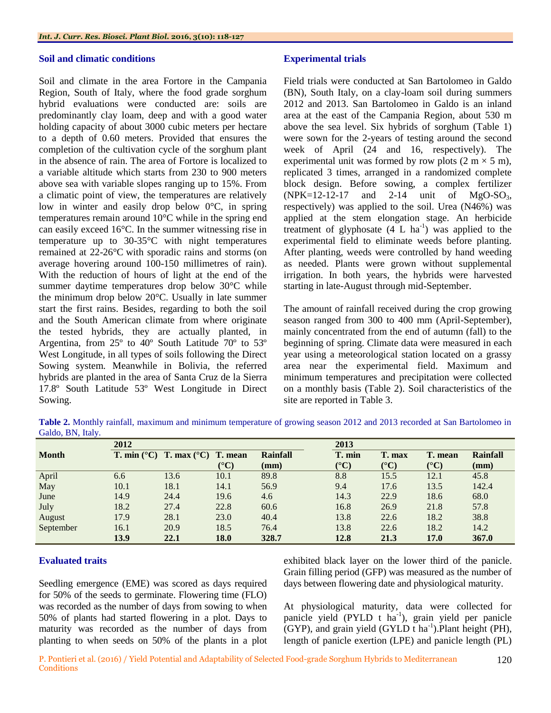### **Soil and climatic conditions**

Soil and climate in the area Fortore in the Campania Region, South of Italy, where the food grade sorghum hybrid evaluations were conducted are: soils are predominantly clay loam, deep and with a good water holding capacity of about 3000 cubic meters per hectare to a depth of 0.60 meters. Provided that ensures the completion of the cultivation cycle of the sorghum plant in the absence of rain. The area of Fortore is localized to a variable altitude which starts from 230 to 900 meters above sea with variable slopes ranging up to 15%. From a climatic point of view, the temperatures are relatively low in winter and easily drop below 0°C, in spring temperatures remain around 10°C while in the spring end can easily exceed 16°C. In the summer witnessing rise in temperature up to 30-35°C with night temperatures remained at 22-26°C with sporadic rains and storms (on average hovering around 100-150 millimetres of rain). With the reduction of hours of light at the end of the summer daytime temperatures drop below 30°C while the minimum drop below 20°C. Usually in late summer start the first rains. Besides, regarding to both the soil and the South American climate from where originate the tested hybrids, they are actually planted, in Argentina, from 25º to 40º South Latitude 70º to 53º West Longitude, in all types of soils following the Direct Sowing system. Meanwhile in Bolivia, the referred hybrids are planted in the area of Santa Cruz de la Sierra 17.8º South Latitude 53º West Longitude in Direct Sowing.

## **Experimental trials**

Field trials were conducted at San Bartolomeo in Galdo (BN), South Italy, on a clay-loam soil during summers 2012 and 2013. San Bartolomeo in Galdo is an inland area at the east of the Campania Region, about 530 m above the sea level. Six hybrids of sorghum (Table 1) were sown for the 2-years of testing around the second week of April (24 and 16, respectively). The experimental unit was formed by row plots  $(2 \text{ m} \times 5 \text{ m})$ , replicated 3 times, arranged in a randomized complete block design. Before sowing, a complex fertilizer  $(NPK=12-12-17$  and 2-14 unit of MgO-SO<sub>3</sub>, respectively) was applied to the soil. Urea (N46%) was applied at the stem elongation stage. An herbicide treatment of glyphosate  $(4 L ha<sup>-1</sup>)$  was applied to the experimental field to eliminate weeds before planting. After planting, weeds were controlled by hand weeding as needed. Plants were grown without supplemental irrigation. In both years, the hybrids were harvested starting in late-August through mid-September.

The amount of rainfall received during the crop growing season ranged from 300 to 400 mm (April-September), mainly concentrated from the end of autumn (fall) to the beginning of spring. Climate data were measured in each year using a meteorological station located on a grassy area near the experimental field. Maximum and minimum temperatures and precipitation were collected on a monthly basis (Table 2). Soil characteristics of the site are reported in Table 3.

**Table 2.** Monthly rainfall, maximum and minimum temperature of growing season 2012 and 2013 recorded at San Bartolomeo in Galdo, BN, Italy.

|              | 2012 |                                                             |                       | 2013            |                       |                       |                       |                 |  |
|--------------|------|-------------------------------------------------------------|-----------------------|-----------------|-----------------------|-----------------------|-----------------------|-----------------|--|
| <b>Month</b> |      | <b>T.</b> min $({}^{\circ}C)$ <b>T.</b> max $({}^{\circ}C)$ | T. mean               | <b>Rainfall</b> | T. min                | T. max                | T. mean               | <b>Rainfall</b> |  |
|              |      |                                                             | $({}^{\circ}{\bf C})$ | $(\mathbf{mm})$ | $({}^{\circ}{\rm C})$ | $({}^{\circ}{\rm C})$ | $({}^{\circ}{\rm C})$ | (mm)            |  |
| April        | 6.6  | 13.6                                                        | 10.1                  | 89.8            | 8.8                   | 15.5                  | 12.1                  | 45.8            |  |
| May          | 10.1 | 18.1                                                        | 14.1                  | 56.9            | 9.4                   | 17.6                  | 13.5                  | 142.4           |  |
| June         | 14.9 | 24.4                                                        | 19.6                  | 4.6             | 14.3                  | 22.9                  | 18.6                  | 68.0            |  |
| July         | 18.2 | 27.4                                                        | 22.8                  | 60.6            | 16.8                  | 26.9                  | 21.8                  | 57.8            |  |
| August       | 17.9 | 28.1                                                        | 23.0                  | 40.4            | 13.8                  | 22.6                  | 18.2                  | 38.8            |  |
| September    | 16.1 | 20.9                                                        | 18.5                  | 76.4            | 13.8                  | 22.6                  | 18.2                  | 14.2            |  |
|              | 13.9 | 22.1                                                        | 18.0                  | 328.7           | 12.8                  | 21.3                  | 17.0                  | 367.0           |  |

# **Evaluated traits**

Seedling emergence (EME) was scored as days required for 50% of the seeds to germinate. Flowering time (FLO) was recorded as the number of days from sowing to when 50% of plants had started flowering in a plot. Days to maturity was recorded as the number of days from planting to when seeds on 50% of the plants in a plot exhibited black layer on the lower third of the panicle. Grain filling period (GFP) was measured as the number of days between flowering date and physiological maturity.

At physiological maturity, data were collected for panicle yield (PYLD t ha<sup>-1</sup>), grain yield per panicle  $(GYP)$ , and grain yield  $(GYLD t ha<sup>-1</sup>)$ . Plant height (PH), length of panicle exertion (LPE) and panicle length (PL)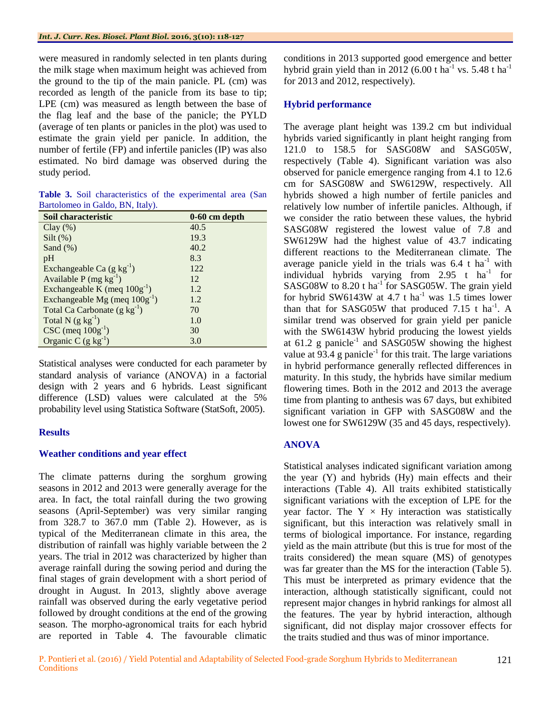were measured in randomly selected in ten plants during the milk stage when maximum height was achieved from the ground to the tip of the main panicle. PL (cm) was recorded as length of the panicle from its base to tip; LPE (cm) was measured as length between the base of the flag leaf and the base of the panicle; the PYLD (average of ten plants or panicles in the plot) was used to estimate the grain yield per panicle. In addition, the number of fertile (FP) and infertile panicles (IP) was also estimated. No bird damage was observed during the study period.

|  | Table 3. Soil characteristics of the experimental area (San |  |  |  |
|--|-------------------------------------------------------------|--|--|--|
|  | Bartolomeo in Galdo, BN, Italy).                            |  |  |  |

| Soil characteristic                | $0-60$ cm depth |
|------------------------------------|-----------------|
| $Clay(\%)$                         | 40.5            |
| $Silt$ (%)                         | 19.3            |
| Sand $(\%)$                        | 40.2            |
| pH                                 | 8.3             |
| Exchangeable Ca $(g kg^{-1})$      | 122             |
| Available $P(mg kg^{-1})$          | 12              |
| Exchangeable K (meq $100g^{-1}$ )  | 1.2             |
| Exchangeable Mg (meq $100g^{-1}$ ) | 1.2             |
| Total Ca Carbonate $(g kg^{-1})$   | 70              |
| Total N $(g kg^{-1})$              | 1.0             |
| $CSC$ (meq $100g^{-1}$ )           | 30              |
| Organic C $(g kg^{-1})$            | 3.0             |

Statistical analyses were conducted for each parameter by standard analysis of variance (ANOVA) in a factorial design with 2 years and 6 hybrids. Least significant difference (LSD) values were calculated at the 5% probability level using Statistica Software (StatSoft, 2005).

### **Results**

# **Weather conditions and year effect**

The climate patterns during the sorghum growing seasons in 2012 and 2013 were generally average for the area. In fact, the total rainfall during the two growing seasons (April-September) was very similar ranging from 328.7 to 367.0 mm (Table 2). However, as is typical of the Mediterranean climate in this area, the distribution of rainfall was highly variable between the 2 years. The trial in 2012 was characterized by higher than average rainfall during the sowing period and during the final stages of grain development with a short period of drought in August. In 2013, slightly above average rainfall was observed during the early vegetative period followed by drought conditions at the end of the growing season. The morpho-agronomical traits for each hybrid are reported in Table 4. The favourable climatic conditions in 2013 supported good emergence and better hybrid grain yield than in 2012 (6.00 t ha<sup>-1</sup> vs. 5.48 t ha<sup>-1</sup> for 2013 and 2012, respectively).

# **Hybrid performance**

The average plant height was 139.2 cm but individual hybrids varied significantly in plant height ranging from 121.0 to 158.5 for SASG08W and SASG05W, respectively (Table 4). Significant variation was also observed for panicle emergence ranging from 4.1 to 12.6 cm for SASG08W and SW6129W, respectively. All hybrids showed a high number of fertile panicles and relatively low number of infertile panicles. Although, if we consider the ratio between these values, the hybrid SASG08W registered the lowest value of 7.8 and SW6129W had the highest value of 43.7 indicating different reactions to the Mediterranean climate. The average panicle yield in the trials was  $6.4 \text{ t} \text{ ha}^{-1}$  with individual hybrids varying from  $2.95$  t ha<sup>-1</sup> for SASG08W to 8.20 t ha<sup>-1</sup> for SASG05W. The grain yield for hybrid SW6143W at  $4.7$  t ha<sup>-1</sup> was 1.5 times lower than that for SASG05W that produced 7.15 t ha<sup>-1</sup>. A similar trend was observed for grain yield per panicle with the SW6143W hybrid producing the lowest yields at  $61.2$  g panicle<sup>-1</sup> and SASG05W showing the highest value at  $93.4$  g panicle<sup>-1</sup> for this trait. The large variations in hybrid performance generally reflected differences in maturity. In this study, the hybrids have similar medium flowering times. Both in the 2012 and 2013 the average time from planting to anthesis was 67 days, but exhibited significant variation in GFP with SASG08W and the lowest one for SW6129W (35 and 45 days, respectively).

# **ANOVA**

Statistical analyses indicated significant variation among the year (Y) and hybrids (Hy) main effects and their interactions (Table 4). All traits exhibited statistically significant variations with the exception of LPE for the year factor. The  $Y \times Hy$  interaction was statistically significant, but this interaction was relatively small in terms of biological importance. For instance, regarding yield as the main attribute (but this is true for most of the traits considered) the mean square (MS) of genotypes was far greater than the MS for the interaction (Table 5). This must be interpreted as primary evidence that the interaction, although statistically significant, could not represent major changes in hybrid rankings for almost all the features. The year by hybrid interaction, although significant, did not display major crossover effects for the traits studied and thus was of minor importance.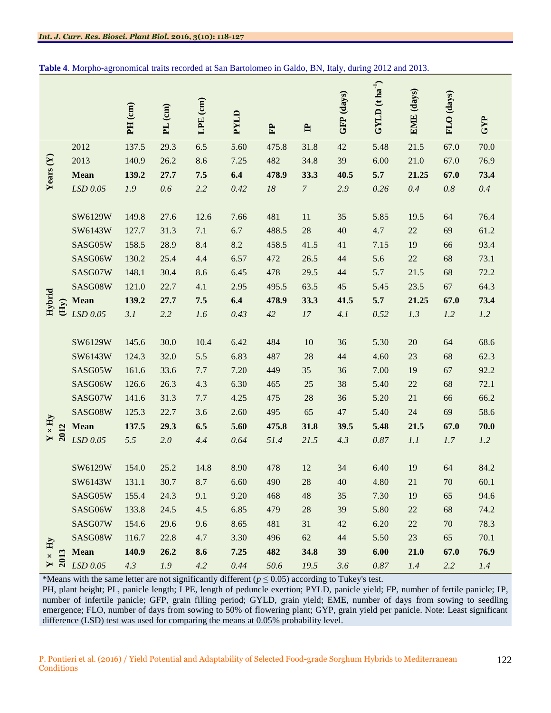|                                        |      |             |         |           |          |      |        |                | GFP (days) | $GYLD$ (t ha <sup>-1</sup> ) | EME (days) | FLO (days) |      |
|----------------------------------------|------|-------------|---------|-----------|----------|------|--------|----------------|------------|------------------------------|------------|------------|------|
|                                        |      |             | PH (cm) | $PL$ (cm) | LPE (cm) | PYLD | E      | $\mathbf{r}$   |            |                              |            |            | GYP  |
|                                        |      | 2012        | 137.5   | 29.3      | 6.5      | 5.60 | 475.8  | 31.8           | 42         | 5.48                         | 21.5       | 67.0       | 70.0 |
|                                        |      | 2013        | 140.9   | 26.2      | 8.6      | 7.25 | 482    | 34.8           | 39         | 6.00                         | 21.0       | 67.0       | 76.9 |
| Years $(Y)$                            |      | <b>Mean</b> | 139.2   | 27.7      | 7.5      | 6.4  | 478.9  | 33.3           | 40.5       | 5.7                          | 21.25      | 67.0       | 73.4 |
|                                        |      | LSD 0.05    | 1.9     | 0.6       | 2.2      | 0.42 | $18\,$ | $\overline{7}$ | 2.9        | 0.26                         | 0.4        | $0.8\,$    | 0.4  |
|                                        |      |             |         |           |          |      |        |                |            |                              |            |            |      |
|                                        |      | SW6129W     | 149.8   | 27.6      | 12.6     | 7.66 | 481    | 11             | 35         | 5.85                         | 19.5       | 64         | 76.4 |
|                                        |      | SW6143W     | 127.7   | 31.3      | 7.1      | 6.7  | 488.5  | 28             | 40         | 4.7                          | 22         | 69         | 61.2 |
|                                        |      | SASG05W     | 158.5   | 28.9      | 8.4      | 8.2  | 458.5  | 41.5           | 41         | 7.15                         | 19         | 66         | 93.4 |
|                                        |      | SASG06W     | 130.2   | 25.4      | 4.4      | 6.57 | 472    | 26.5           | 44         | 5.6                          | $22\,$     | 68         | 73.1 |
|                                        |      | SASG07W     | 148.1   | 30.4      | 8.6      | 6.45 | 478    | 29.5           | 44         | 5.7                          | 21.5       | 68         | 72.2 |
|                                        |      | SASG08W     | 121.0   | 22.7      | 4.1      | 2.95 | 495.5  | 63.5           | $45\,$     | 5.45                         | 23.5       | 67         | 64.3 |
| Hybrid                                 | (Hy) | <b>Mean</b> | 139.2   | 27.7      | 7.5      | 6.4  | 478.9  | 33.3           | 41.5       | 5.7                          | 21.25      | 67.0       | 73.4 |
|                                        |      | LSD 0.05    | 3.1     | 2.2       | 1.6      | 0.43 | 42     | $17$           | 4.1        | 0.52                         | 1.3        | 1.2        | 1.2  |
|                                        |      |             |         |           |          |      |        |                |            |                              |            |            |      |
|                                        |      | SW6129W     | 145.6   | 30.0      | 10.4     | 6.42 | 484    | 10             | 36         | 5.30                         | 20         | 64         | 68.6 |
|                                        |      | SW6143W     | 124.3   | 32.0      | 5.5      | 6.83 | 487    | 28             | 44         | 4.60                         | 23         | 68         | 62.3 |
|                                        |      | SASG05W     | 161.6   | 33.6      | 7.7      | 7.20 | 449    | 35             | 36         | 7.00                         | 19         | 67         | 92.2 |
|                                        |      | SASG06W     | 126.6   | 26.3      | 4.3      | 6.30 | 465    | $25\,$         | 38         | 5.40                         | $22\,$     | 68         | 72.1 |
|                                        |      | SASG07W     | 141.6   | 31.3      | 7.7      | 4.25 | 475    | $28\,$         | 36         | 5.20                         | 21         | 66         | 66.2 |
|                                        |      | SASG08W     | 125.3   | 22.7      | 3.6      | 2.60 | 495    | 65             | 47         | 5.40                         | 24         | 69         | 58.6 |
| $Y \times Hy$                          | 2012 | <b>Mean</b> | 137.5   | 29.3      | 6.5      | 5.60 | 475.8  | 31.8           | 39.5       | 5.48                         | 21.5       | 67.0       | 70.0 |
|                                        |      | $LSD$ 0.05  | 5.5     | $2.0\,$   | 4.4      | 0.64 | 51.4   | 21.5           | 4.3        | $0.87\,$                     | 1.1        | 1.7        | 1.2  |
|                                        |      |             |         |           |          |      |        |                |            |                              |            |            |      |
|                                        |      | SW6129W     | 154.0   | 25.2      | 14.8     | 8.90 | 478    | $12\,$         | 34         | 6.40                         | 19         | 64         | 84.2 |
|                                        |      | SW6143W     | 131.1   | 30.7      | 8.7      | 6.60 | 490    | 28             | 40         | 4.80                         | 21         | 70         | 60.1 |
|                                        |      | SASG05W     | 155.4   | 24.3      | 9.1      | 9.20 | 468    | $\sqrt{48}$    | 35         | 7.30                         | 19         | 65         | 94.6 |
|                                        |      | SASG06W     | 133.8   | 24.5      | 4.5      | 6.85 | 479    | $28\,$         | 39         | 5.80                         | 22         | 68         | 74.2 |
|                                        |      | SASG07W     | 154.6   | 29.6      | 9.6      | 8.65 | 481    | 31             | 42         | 6.20                         | 22         | 70         | 78.3 |
|                                        |      | SASG08W     | 116.7   | 22.8      | 4.7      | 3.30 | 496    | $62\,$         | 44         | 5.50                         | 23         | 65         | 70.1 |
| $\mathbf{Y}\times\mathbf{H}\mathbf{y}$ | 2013 | <b>Mean</b> | 140.9   | 26.2      | 8.6      | 7.25 | 482    | 34.8           | 39         | $6.00$                       | 21.0       | 67.0       | 76.9 |
|                                        |      | $LSD\ 0.05$ | 4.3     | $1.9$     | 4.2      | 0.44 | 50.6   | 19.5           | 3.6        | $0.87\,$                     | 1.4        | 2.2        | 1.4  |

|  |  |  | Table 4. Morpho-agronomical traits recorded at San Bartolomeo in Galdo, BN, Italy, during 2012 and 2013. |  |  |  |
|--|--|--|----------------------------------------------------------------------------------------------------------|--|--|--|
|  |  |  |                                                                                                          |  |  |  |

\*Means with the same letter are not significantly different ( $p \le 0.05$ ) according to Tukey's test.

PH, plant height; PL, panicle length; LPE, length of peduncle exertion; PYLD, panicle yield; FP, number of fertile panicle; IP, number of infertile panicle; GFP, grain filling period; GYLD, grain yield; EME, number of days from sowing to seedling emergence; FLO, number of days from sowing to 50% of flowering plant; GYP, grain yield per panicle. Note: Least significant difference (LSD) test was used for comparing the means at 0.05% probability level.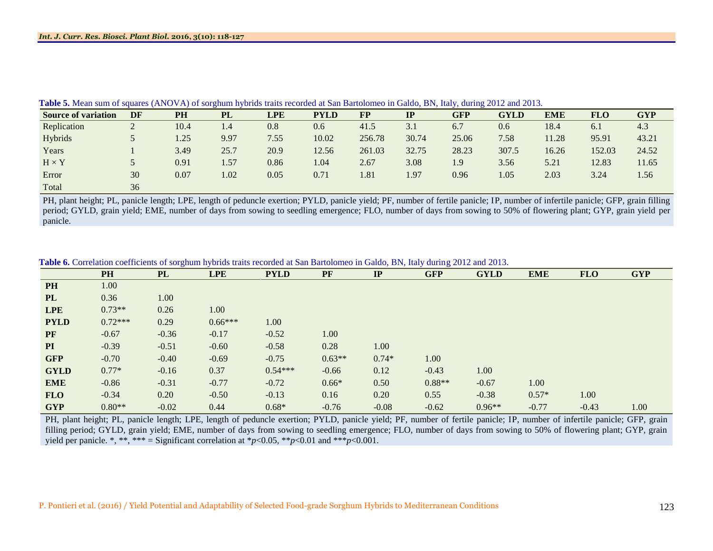|                            |                          |      |      |      |             |           |       | - -<br>ັ   |             |            |            |            |
|----------------------------|--------------------------|------|------|------|-------------|-----------|-------|------------|-------------|------------|------------|------------|
| <b>Source of variation</b> | DF                       | PH   | PL   | LPE  | <b>PYLD</b> | <b>FP</b> | IP    | <b>GFP</b> | <b>GYLD</b> | <b>EME</b> | <b>FLO</b> | <b>GYP</b> |
| Replication                | $\overline{\phantom{a}}$ | 10.4 | 1.4  | 0.8  | 0.6         | 41.5      | 3.1   | 6.7        | 0.6         | 18.4       | 6.1        | 4.3        |
| Hybrids                    |                          | 1.25 | 9.97 | 7.55 | 10.02       | 256.78    | 30.74 | 25.06      | 7.58        | 1.28       | 95.91      | 43.21      |
| Years                      |                          | 3.49 | 25.7 | 20.9 | 12.56       | 261.03    | 32.75 | 28.23      | 307.5       | 16.26      | 152.03     | 24.52      |
| $H \times Y$               |                          | 0.91 | 1.57 | 0.86 | 1.04        | 2.67      | 3.08  | 1.9        | 3.56        | 5.21       | 12.83      | 11.65      |
| Error                      | 30                       | 0.07 | 1.02 | 0.05 | 0.71        | 1.81      | 1.97  | 0.96       | 1.05        | 2.03       | 3.24       | 1.56       |
| Total                      | 36                       |      |      |      |             |           |       |            |             |            |            |            |

**Table 5.** Mean sum of squares (ANOVA) of sorghum hybrids traits recorded at San Bartolomeo in Galdo, BN, Italy, during 2012 and 2013.

PH, plant height; PL, panicle length; LPE, length of peduncle exertion; PYLD, panicle yield; PF, number of fertile panicle; IP, number of infertile panicle; GFP, grain filling period; GYLD, grain yield; EME, number of days from sowing to seedling emergence; FLO, number of days from sowing to 50% of flowering plant; GYP, grain yield per panicle.

**Table 6.** Correlation coefficients of sorghum hybrids traits recorded at San Bartolomeo in Galdo, BN, Italy during 2012 and 2013.

|             | PH        | <b>PL</b> | <b>LPE</b> | <b>PYLD</b> | PF       | IP      | <b>GFP</b> | <b>GYLD</b> | <b>EME</b> | <b>FLO</b> | <b>GYP</b> |
|-------------|-----------|-----------|------------|-------------|----------|---------|------------|-------------|------------|------------|------------|
| <b>PH</b>   | 1.00      |           |            |             |          |         |            |             |            |            |            |
| <b>PL</b>   | 0.36      | 1.00      |            |             |          |         |            |             |            |            |            |
| <b>LPE</b>  | $0.73**$  | 0.26      | 1.00       |             |          |         |            |             |            |            |            |
| <b>PYLD</b> | $0.72***$ | 0.29      | $0.66***$  | 1.00        |          |         |            |             |            |            |            |
| PF          | $-0.67$   | $-0.36$   | $-0.17$    | $-0.52$     | 1.00     |         |            |             |            |            |            |
| PI          | $-0.39$   | $-0.51$   | $-0.60$    | $-0.58$     | 0.28     | 1.00    |            |             |            |            |            |
| <b>GFP</b>  | $-0.70$   | $-0.40$   | $-0.69$    | $-0.75$     | $0.63**$ | $0.74*$ | 1.00       |             |            |            |            |
| <b>GYLD</b> | $0.77*$   | $-0.16$   | 0.37       | $0.54***$   | $-0.66$  | 0.12    | $-0.43$    | 1.00        |            |            |            |
| <b>EME</b>  | $-0.86$   | $-0.31$   | $-0.77$    | $-0.72$     | $0.66*$  | 0.50    | $0.88**$   | $-0.67$     | 1.00       |            |            |
| <b>FLO</b>  | $-0.34$   | 0.20      | $-0.50$    | $-0.13$     | 0.16     | 0.20    | 0.55       | $-0.38$     | $0.57*$    | 1.00       |            |
| <b>GYP</b>  | $0.80**$  | $-0.02$   | 0.44       | $0.68*$     | $-0.76$  | $-0.08$ | $-0.62$    | $0.96**$    | $-0.77$    | $-0.43$    | 1.00       |

PH, plant height; PL, panicle length; LPE, length of peduncle exertion; PYLD, panicle yield; PF, number of fertile panicle; IP, number of infertile panicle; GFP, grain filling period; GYLD, grain yield; EME, number of days from sowing to seedling emergence; FLO, number of days from sowing to 50% of flowering plant; GYP, grain yield per panicle. \*, \*\*, \*\*\* = Significant correlation at  $p < 0.05$ , \*\* $p < 0.01$  and \*\*\* $p < 0.001$ .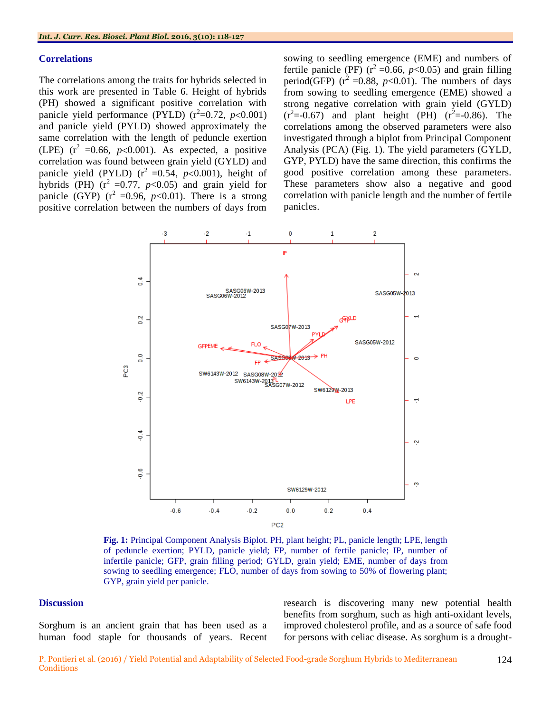#### **Correlations**

The correlations among the traits for hybrids selected in this work are presented in Table 6. Height of hybrids (PH) showed a significant positive correlation with panicle yield performance (PYLD)  $(r^2=0.72, p<0.001)$ and panicle yield (PYLD) showed approximately the same correlation with the length of peduncle exertion (LPE)  $(r^2=0.66, p<0.001)$ . As expected, a positive correlation was found between grain yield (GYLD) and panicle yield (PYLD)  $(r^2=0.54, p<0.001)$ , height of hybrids (PH)  $(r^2 = 0.77, p < 0.05)$  and grain yield for panicle (GYP)  $(r^2 = 0.96, p < 0.01)$ . There is a strong positive correlation between the numbers of days from

sowing to seedling emergence (EME) and numbers of fertile panicle (PF)  $(r^2 = 0.66, p < 0.05)$  and grain filling period(GFP)  $(r^2 = 0.88, p < 0.01)$ . The numbers of days from sowing to seedling emergence (EME) showed a strong negative correlation with grain yield (GYLD)  $(r^2 = -0.67)$  and plant height (PH)  $(r^2 = -0.86)$ . The correlations among the observed parameters were also investigated through a biplot from Principal Component Analysis (PCA) (Fig. 1). The yield parameters (GYLD, GYP, PYLD) have the same direction, this confirms the good positive correlation among these parameters. These parameters show also a negative and good correlation with panicle length and the number of fertile panicles.



**Fig. 1:** Principal Component Analysis Biplot. PH, plant height; PL, panicle length; LPE, length of peduncle exertion; PYLD, panicle yield; FP, number of fertile panicle; IP, number of infertile panicle; GFP, grain filling period; GYLD, grain yield; EME, number of days from sowing to seedling emergence; FLO, number of days from sowing to 50% of flowering plant; GYP, grain yield per panicle.

#### **Discussion**

Sorghum is an ancient grain that has been used as a human food staple for thousands of years. Recent research is discovering many new potential health benefits from sorghum, such as high anti-oxidant levels, improved cholesterol profile, and as a source of safe food for persons with celiac disease. As sorghum is a drought-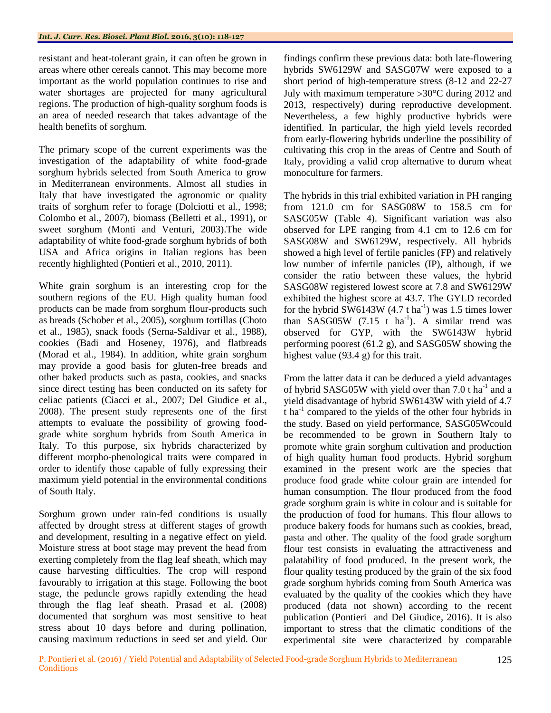resistant and heat-tolerant grain, it can often be grown in areas where other cereals cannot. This may become more important as the world population continues to rise and water shortages are projected for many agricultural regions. The production of high-quality sorghum foods is an area of needed research that takes advantage of the health benefits of sorghum.

The primary scope of the current experiments was the investigation of the adaptability of white food-grade sorghum hybrids selected from South America to grow in Mediterranean environments. Almost all studies in Italy that have investigated the agronomic or quality traits of sorghum refer to forage (Dolciotti et al., 1998; Colombo et al., 2007), biomass (Belletti et al., 1991), or sweet sorghum (Monti and Venturi, 2003).The wide adaptability of white food-grade sorghum hybrids of both USA and Africa origins in Italian regions has been recently highlighted (Pontieri et al., 2010, 2011).

White grain sorghum is an interesting crop for the southern regions of the EU. High quality human food products can be made from sorghum flour-products such as breads (Schober et al., 2005), sorghum tortillas (Choto et al., 1985), snack foods (Serna-Saldivar et al., 1988), cookies (Badi and Hoseney, 1976), and flatbreads (Morad et al., 1984). In addition, white grain sorghum may provide a good basis for gluten-free breads and other baked products such as pasta, cookies, and snacks since direct testing has been conducted on its safety for celiac patients (Ciacci et al., 2007; Del Giudice et al., 2008). The present study represents one of the first attempts to evaluate the possibility of growing foodgrade white sorghum hybrids from South America in Italy. To this purpose, six hybrids characterized by different morpho-phenological traits were compared in order to identify those capable of fully expressing their maximum yield potential in the environmental conditions of South Italy.

Sorghum grown under rain-fed conditions is usually affected by drought stress at different stages of growth and development, resulting in a negative effect on yield. Moisture stress at boot stage may prevent the head from exerting completely from the flag leaf sheath, which may cause harvesting difficulties. The crop will respond favourably to irrigation at this stage. Following the boot stage, the peduncle grows rapidly extending the head through the flag leaf sheath. Prasad et al. (2008) documented that sorghum was most sensitive to heat stress about 10 days before and during pollination, causing maximum reductions in seed set and yield. Our

findings confirm these previous data: both late-flowering hybrids SW6129W and SASG07W were exposed to a short period of high-temperature stress (8-12 and 22-27 July with maximum temperature  $>30^{\circ}$ C during 2012 and 2013, respectively) during reproductive development. Nevertheless, a few highly productive hybrids were identified. In particular, the high yield levels recorded from early-flowering hybrids underline the possibility of cultivating this crop in the areas of Centre and South of Italy, providing a valid crop alternative to durum wheat monoculture for farmers.

The hybrids in this trial exhibited variation in PH ranging from 121.0 cm for SASG08W to 158.5 cm for SASG05W (Table 4). Significant variation was also observed for LPE ranging from 4.1 cm to 12.6 cm for SASG08W and SW6129W, respectively. All hybrids showed a high level of fertile panicles (FP) and relatively low number of infertile panicles (IP), although, if we consider the ratio between these values, the hybrid SASG08W registered lowest score at 7.8 and SW6129W exhibited the highest score at 43.7. The GYLD recorded for the hybrid SW6143W  $(4.7 \text{ t ha}^{-1})$  was 1.5 times lower than SASG05W  $(7.15 \text{ t} \text{ ha}^{-1})$ . A similar trend was observed for GYP, with the SW6143W hybrid performing poorest (61.2 g), and SASG05W showing the highest value (93.4 g) for this trait.

From the latter data it can be deduced a yield advantages of hybrid SASG05W with yield over than 7.0 t ha<sup>-1</sup> and a yield disadvantage of hybrid SW6143W with yield of 4.7  $t$  ha<sup>-1</sup> compared to the yields of the other four hybrids in the study. Based on yield performance, SASG05Wcould be recommended to be grown in Southern Italy to promote white grain sorghum cultivation and production of high quality human food products. Hybrid sorghum examined in the present work are the species that produce food grade white colour grain are intended for human consumption. The flour produced from the food grade sorghum grain is white in colour and is suitable for the production of food for humans. This flour allows to produce bakery foods for humans such as cookies, bread, pasta and other. The quality of the food grade sorghum flour test consists in evaluating the attractiveness and palatability of food produced. In the present work, the flour quality testing produced by the grain of the six food grade sorghum hybrids coming from South America was evaluated by the quality of the cookies which they have produced (data not shown) according to the recent publication (Pontieri and Del Giudice, 2016). It is also important to stress that the climatic conditions of the experimental site were characterized by comparable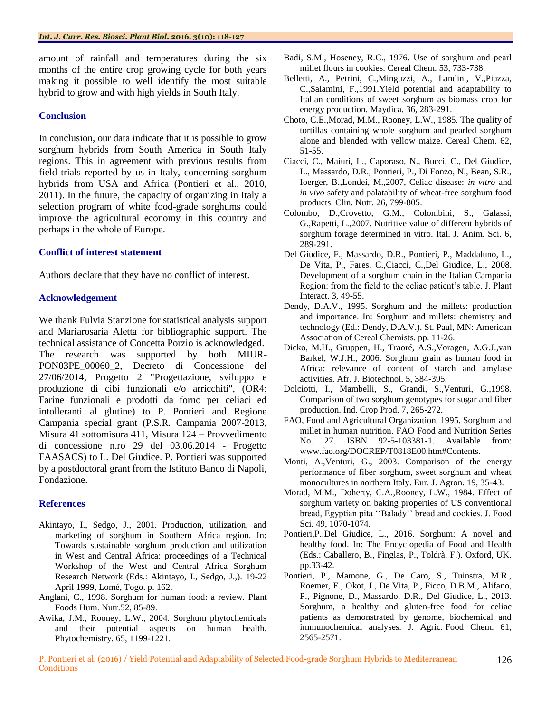amount of rainfall and temperatures during the six months of the entire crop growing cycle for both years making it possible to well identify the most suitable hybrid to grow and with high yields in South Italy.

### **Conclusion**

In conclusion, our data indicate that it is possible to grow sorghum hybrids from South America in South Italy regions. This in agreement with previous results from field trials reported by us in Italy, concerning sorghum hybrids from USA and Africa (Pontieri et al., 2010, 2011). In the future, the capacity of organizing in Italy a selection program of white food-grade sorghums could improve the agricultural economy in this country and perhaps in the whole of Europe.

### **Conflict of interest statement**

Authors declare that they have no conflict of interest.

### **Acknowledgement**

We thank Fulvia Stanzione for statistical analysis support and Mariarosaria Aletta for bibliographic support. The technical assistance of Concetta Porzio is acknowledged. The research was supported by both MIUR-PON03PE\_00060\_2, Decreto di Concessione del 27/06/2014, Progetto 2 "Progettazione, sviluppo e produzione di cibi funzionali e/o arricchiti", (OR4: Farine funzionali e prodotti da forno per celiaci ed intolleranti al glutine) to P. Pontieri and Regione Campania special grant (P.S.R. Campania 2007-2013, Misura 41 sottomisura 411, Misura 124 – Provvedimento di concessione n.ro 29 del 03.06.2014 - Progetto FAASACS) to L. Del Giudice. P. Pontieri was supported by a postdoctoral grant from the Istituto Banco di Napoli, Fondazione.

### **References**

- Akintayo, I., Sedgo, J., 2001. Production, utilization, and marketing of sorghum in Southern Africa region. In: Towards sustainable sorghum production and utilization in West and Central Africa: proceedings of a Technical Workshop of the West and Central Africa Sorghum Research Network (Eds.: Akintayo, I., Sedgo, J.,). 19-22 April 1999, Lomé, Togo. p. 162.
- Anglani, C., 1998. Sorghum for human food: a review*.* Plant Foods Hum. Nutr.52, 85-89.
- Awika, J.M., Rooney, L.W., 2004. Sorghum phytochemicals and their potential aspects on human health. Phytochemistry. 65, 1199-1221.
- Badi, S.M., Hoseney, R.C., 1976. Use of sorghum and pearl millet flours in cookies. Cereal Chem. 53, 733-738.
- Belletti, A., Petrini, C.,Minguzzi, A., Landini, V.,Piazza, C.,Salamini, F.,1991.Yield potential and adaptability to Italian conditions of sweet sorghum as biomass crop for energy production. Maydica. 36, 283-291.
- Choto, C.E.,Morad, M.M., Rooney, L.W., 1985. The quality of tortillas containing whole sorghum and pearled sorghum alone and blended with yellow maize. Cereal Chem. 62, 51-55.
- Ciacci, C., Maiuri, L., Caporaso, N., Bucci, C., Del Giudice, L., Massardo, D.R., Pontieri, P., Di Fonzo, N., Bean, S.R., Ioerger, B.,Londei, M.,2007, Celiac disease: *in vitro* and *in vivo* safety and palatability of wheat-free sorghum food products. Clin. Nutr. 26, 799-805.
- Colombo, D.,Crovetto, G.M., Colombini, S., Galassi, G.,Rapetti, L.,2007. Nutritive value of different hybrids of sorghum forage determined in vitro. Ital. J. Anim. Sci. 6, 289-291.
- Del Giudice, F., Massardo, D.R., Pontieri, P., Maddaluno, L., De Vita, P., Fares, C.,Ciacci, C.,Del Giudice, L., 2008. Development of a sorghum chain in the Italian Campania Region: from the field to the celiac patient's table. J. Plant Interact. 3, 49-55.
- Dendy, D.A.V., 1995. Sorghum and the millets: production and importance. In: Sorghum and millets: chemistry and technology (Ed.: Dendy, D.A.V.). St. Paul, MN: American Association of Cereal Chemists. pp. 11-26.
- Dicko, M.H., Gruppen, H., Traoré, A.S.,Voragen, A.G.J.,van Barkel, W.J.H., 2006. Sorghum grain as human food in Africa: relevance of content of starch and amylase activities. Afr. J. Biotechnol. 5, 384-395.
- Dolciotti, I., Mambelli, S., Grandi, S.,Venturi, G.,1998. Comparison of two sorghum genotypes for sugar and fiber production. Ind. Crop Prod. 7, 265-272.
- FAO, Food and Agricultural Organization. 1995. Sorghum and millet in human nutrition. FAO Food and Nutrition Series No. 27. ISBN 92-5-103381-1. Available from: www.fao.org/DOCREP/T0818E00.htm#Contents.
- Monti, A.,Venturi, G., 2003. Comparison of the energy performance of fiber sorghum, sweet sorghum and wheat monocultures in northern Italy. Eur. J. Agron. 19, 35-43.
- Morad, M.M., Doherty, C.A.,Rooney, L.W., 1984. Effect of sorghum variety on baking properties of US conventional bread, Egyptian pita ""Balady"" bread and cookies. J. Food Sci. 49, 1070-1074.
- Pontieri,P.,Del Giudice, L., 2016. Sorghum: A novel and healthy food. In: The Encyclopedia of Food and Health (Eds.: Caballero, B., Finglas, P., Toldrà, F.). Oxford, UK. pp.33-42.
- Pontieri, P., Mamone, G., De Caro, S., Tuinstra, M.R., Roemer, E., Okot, J., De Vita, P., Ficco, D.B.M., Alifano, P., Pignone, D., Massardo, D.R., Del Giudice, L., 2013. Sorghum, a healthy and gluten-free food for celiac patients as demonstrated by genome, biochemical and immunochemical analyses. J. Agric. Food Chem. 61, 2565-2571.